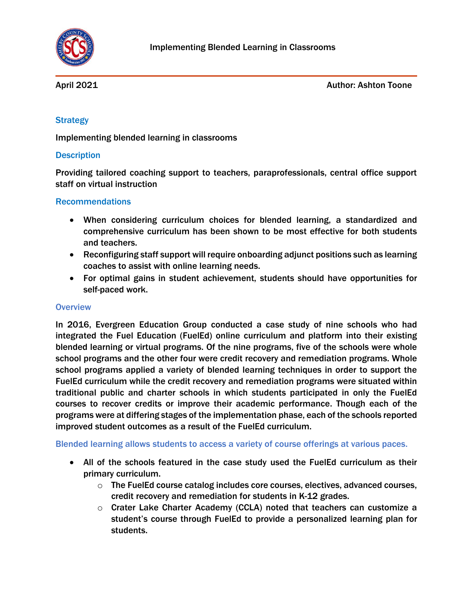

April 2021 **Author: Ashton Toone** 

## **Strategy**

Implementing blended learning in classrooms

### **Description**

Providing tailored coaching support to teachers, paraprofessionals, central office support staff on virtual instruction

### Recommendations

- When considering curriculum choices for blended learning, a standardized and comprehensive curriculum has been shown to be most effective for both students and teachers.
- Reconfiguring staff support will require onboarding adjunct positions such as learning coaches to assist with online learning needs.
- For optimal gains in student achievement, students should have opportunities for self-paced work.

#### **Overview**

In 2016, Evergreen Education Group conducted a case study of nine schools who had integrated the Fuel Education (FuelEd) online curriculum and platform into their existing blended learning or virtual programs. Of the nine programs, five of the schools were whole school programs and the other four were credit recovery and remediation programs. Whole school programs applied a variety of blended learning techniques in order to support the FuelEd curriculum while the credit recovery and remediation programs were situated within traditional public and charter schools in which students participated in only the FuelEd courses to recover credits or improve their academic performance. Though each of the programs were at differing stages of the implementation phase, each of the schools reported improved student outcomes as a result of the FuelEd curriculum.

Blended learning allows students to access a variety of course offerings at various paces.

- All of the schools featured in the case study used the FuelEd curriculum as their primary curriculum.
	- $\circ$  The FuelEd course catalog includes core courses, electives, advanced courses, credit recovery and remediation for students in K-12 grades.
	- $\circ$  Crater Lake Charter Academy (CCLA) noted that teachers can customize a student's course through FuelEd to provide a personalized learning plan for students.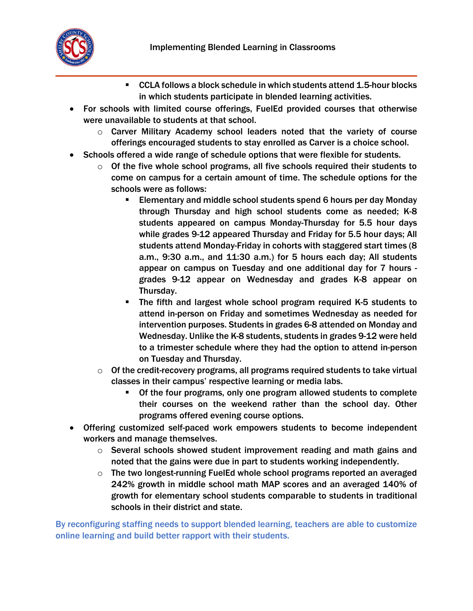

- CCLA follows a block schedule in which students attend 1.5-hour blocks in which students participate in blended learning activities.
- For schools with limited course offerings, FuelEd provided courses that otherwise were unavailable to students at that school.
	- o Carver Military Academy school leaders noted that the variety of course offerings encouraged students to stay enrolled as Carver is a choice school.
- Schools offered a wide range of schedule options that were flexible for students.
	- $\circ$  Of the five whole school programs, all five schools required their students to come on campus for a certain amount of time. The schedule options for the schools were as follows:
		- Elementary and middle school students spend 6 hours per day Monday through Thursday and high school students come as needed; K-8 students appeared on campus Monday-Thursday for 5.5 hour days while grades 9-12 appeared Thursday and Friday for 5.5 hour days; All students attend Monday-Friday in cohorts with staggered start times (8 a.m., 9:30 a.m., and 11:30 a.m.) for 5 hours each day; All students appear on campus on Tuesday and one additional day for 7 hours grades 9-12 appear on Wednesday and grades K-8 appear on Thursday.
		- The fifth and largest whole school program required K-5 students to attend in-person on Friday and sometimes Wednesday as needed for intervention purposes. Students in grades 6-8 attended on Monday and Wednesday. Unlike the K-8 students, students in grades 9-12 were held to a trimester schedule where they had the option to attend in-person on Tuesday and Thursday.
	- $\circ$  Of the credit-recovery programs, all programs required students to take virtual classes in their campus' respective learning or media labs.
		- Of the four programs, only one program allowed students to complete their courses on the weekend rather than the school day. Other programs offered evening course options.
- Offering customized self-paced work empowers students to become independent workers and manage themselves.
	- $\circ$  Several schools showed student improvement reading and math gains and noted that the gains were due in part to students working independently.
	- $\circ$  The two longest-running FuelEd whole school programs reported an averaged 242% growth in middle school math MAP scores and an averaged 140% of growth for elementary school students comparable to students in traditional schools in their district and state.

By reconfiguring staffing needs to support blended learning, teachers are able to customize online learning and build better rapport with their students.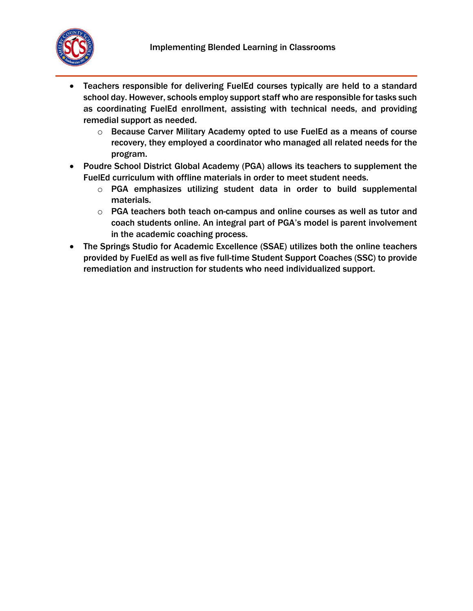

- Teachers responsible for delivering FuelEd courses typically are held to a standard school day. However, schools employ support staff who are responsible for tasks such as coordinating FuelEd enrollment, assisting with technical needs, and providing remedial support as needed.
	- o Because Carver Military Academy opted to use FuelEd as a means of course recovery, they employed a coordinator who managed all related needs for the program.
- Poudre School District Global Academy (PGA) allows its teachers to supplement the FuelEd curriculum with offline materials in order to meet student needs.
	- $\circ$  PGA emphasizes utilizing student data in order to build supplemental materials.
	- o PGA teachers both teach on-campus and online courses as well as tutor and coach students online. An integral part of PGA's model is parent involvement in the academic coaching process.
- The Springs Studio for Academic Excellence (SSAE) utilizes both the online teachers provided by FuelEd as well as five full-time Student Support Coaches (SSC) to provide remediation and instruction for students who need individualized support.